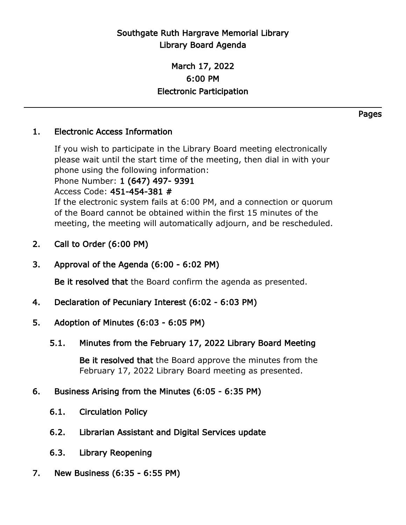## Southgate Ruth Hargrave Memorial Library Library Board Agenda

## March 17, 2022 6:00 PM Electronic Participation

## 1. Electronic Access Information

If you wish to participate in the Library Board meeting electronically please wait until the start time of the meeting, then dial in with your phone using the following information:

Phone Number: 1 (647) 497- 9391

Access Code: 451-454-381 #

If the electronic system fails at 6:00 PM, and a connection or quorum of the Board cannot be obtained within the first 15 minutes of the meeting, the meeting will automatically adjourn, and be rescheduled.

- 2. Call to Order (6:00 PM)
- 3. Approval of the Agenda (6:00 6:02 PM)

Be it resolved that the Board confirm the agenda as presented.

- 4. Declaration of Pecuniary Interest (6:02 6:03 PM)
- 5. Adoption of Minutes (6:03 6:05 PM)
	- 5.1. Minutes from the February 17, 2022 Library Board Meeting

Be it resolved that the Board approve the minutes from the February 17, 2022 Library Board meeting as presented.

## 6. Business Arising from the Minutes (6:05 - 6:35 PM)

- 6.1. Circulation Policy
- 6.2. Librarian Assistant and Digital Services update
- 6.3. Library Reopening
- 7. New Business (6:35 6:55 PM)

Pages